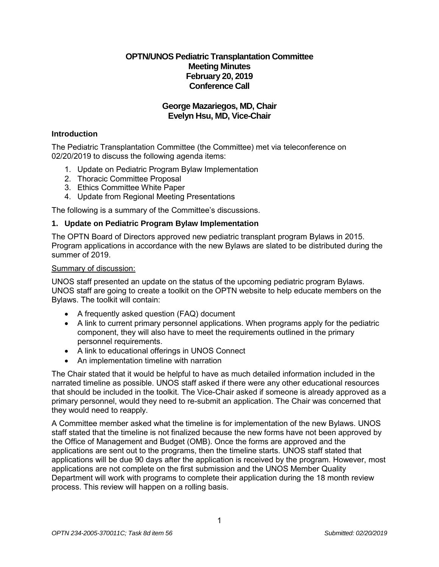# **OPTN/UNOS Pediatric Transplantation Committee Meeting Minutes February 20, 2019 Conference Call**

# **George Mazariegos, MD, Chair Evelyn Hsu, MD, Vice-Chair**

### **Introduction**

The Pediatric Transplantation Committee (the Committee) met via teleconference on 02/20/2019 to discuss the following agenda items:

- 1. Update on Pediatric Program Bylaw Implementation
- 2. Thoracic Committee Proposal
- 3. Ethics Committee White Paper
- 4. Update from Regional Meeting Presentations

The following is a summary of the Committee's discussions.

### **1. Update on Pediatric Program Bylaw Implementation**

The OPTN Board of Directors approved new pediatric transplant program Bylaws in 2015. Program applications in accordance with the new Bylaws are slated to be distributed during the summer of 2019.

#### Summary of discussion:

UNOS staff presented an update on the status of the upcoming pediatric program Bylaws. UNOS staff are going to create a toolkit on the OPTN website to help educate members on the Bylaws. The toolkit will contain:

- A frequently asked question (FAQ) document
- A link to current primary personnel applications. When programs apply for the pediatric component, they will also have to meet the requirements outlined in the primary personnel requirements.
- A link to educational offerings in UNOS Connect
- An implementation timeline with narration

The Chair stated that it would be helpful to have as much detailed information included in the narrated timeline as possible. UNOS staff asked if there were any other educational resources that should be included in the toolkit. The Vice-Chair asked if someone is already approved as a primary personnel, would they need to re-submit an application. The Chair was concerned that they would need to reapply.

A Committee member asked what the timeline is for implementation of the new Bylaws. UNOS staff stated that the timeline is not finalized because the new forms have not been approved by the Office of Management and Budget (OMB). Once the forms are approved and the applications are sent out to the programs, then the timeline starts. UNOS staff stated that applications will be due 90 days after the application is received by the program. However, most applications are not complete on the first submission and the UNOS Member Quality Department will work with programs to complete their application during the 18 month review process. This review will happen on a rolling basis.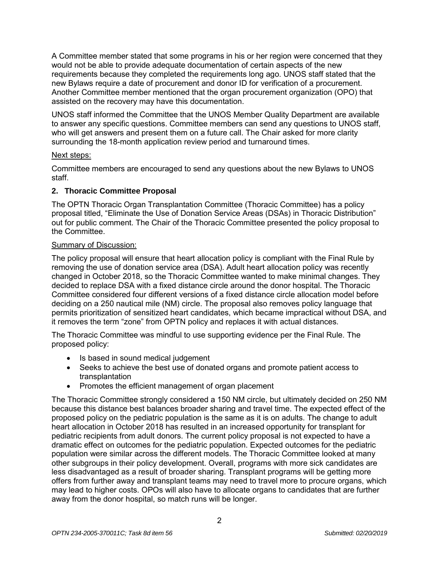A Committee member stated that some programs in his or her region were concerned that they would not be able to provide adequate documentation of certain aspects of the new requirements because they completed the requirements long ago. UNOS staff stated that the new Bylaws require a date of procurement and donor ID for verification of a procurement. Another Committee member mentioned that the organ procurement organization (OPO) that assisted on the recovery may have this documentation.

UNOS staff informed the Committee that the UNOS Member Quality Department are available to answer any specific questions. Committee members can send any questions to UNOS staff, who will get answers and present them on a future call. The Chair asked for more clarity surrounding the 18-month application review period and turnaround times.

### Next steps:

Committee members are encouraged to send any questions about the new Bylaws to UNOS staff.

# **2. Thoracic Committee Proposal**

The OPTN Thoracic Organ Transplantation Committee (Thoracic Committee) has a policy proposal titled, "Eliminate the Use of Donation Service Areas (DSAs) in Thoracic Distribution" out for public comment. The Chair of the Thoracic Committee presented the policy proposal to the Committee.

## Summary of Discussion:

The policy proposal will ensure that heart allocation policy is compliant with the Final Rule by removing the use of donation service area (DSA). Adult heart allocation policy was recently changed in October 2018, so the Thoracic Committee wanted to make minimal changes. They decided to replace DSA with a fixed distance circle around the donor hospital. The Thoracic Committee considered four different versions of a fixed distance circle allocation model before deciding on a 250 nautical mile (NM) circle. The proposal also removes policy language that permits prioritization of sensitized heart candidates, which became impractical without DSA, and it removes the term "zone" from OPTN policy and replaces it with actual distances.

The Thoracic Committee was mindful to use supporting evidence per the Final Rule. The proposed policy:

- Is based in sound medical judgement
- Seeks to achieve the best use of donated organs and promote patient access to transplantation
- Promotes the efficient management of organ placement

The Thoracic Committee strongly considered a 150 NM circle, but ultimately decided on 250 NM because this distance best balances broader sharing and travel time. The expected effect of the proposed policy on the pediatric population is the same as it is on adults. The change to adult heart allocation in October 2018 has resulted in an increased opportunity for transplant for pediatric recipients from adult donors. The current policy proposal is not expected to have a dramatic effect on outcomes for the pediatric population. Expected outcomes for the pediatric population were similar across the different models. The Thoracic Committee looked at many other subgroups in their policy development. Overall, programs with more sick candidates are less disadvantaged as a result of broader sharing. Transplant programs will be getting more offers from further away and transplant teams may need to travel more to procure organs, which may lead to higher costs. OPOs will also have to allocate organs to candidates that are further away from the donor hospital, so match runs will be longer.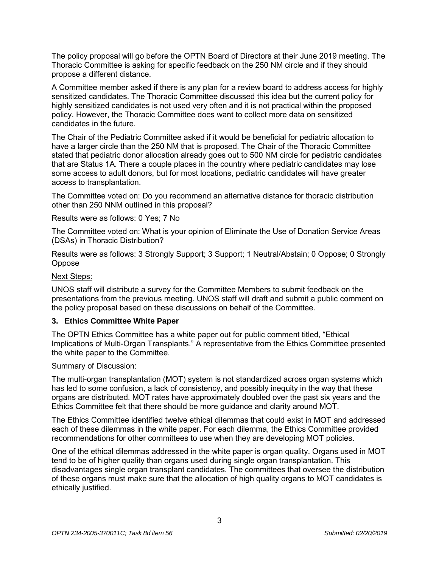The policy proposal will go before the OPTN Board of Directors at their June 2019 meeting. The Thoracic Committee is asking for specific feedback on the 250 NM circle and if they should propose a different distance.

A Committee member asked if there is any plan for a review board to address access for highly sensitized candidates. The Thoracic Committee discussed this idea but the current policy for highly sensitized candidates is not used very often and it is not practical within the proposed policy. However, the Thoracic Committee does want to collect more data on sensitized candidates in the future.

The Chair of the Pediatric Committee asked if it would be beneficial for pediatric allocation to have a larger circle than the 250 NM that is proposed. The Chair of the Thoracic Committee stated that pediatric donor allocation already goes out to 500 NM circle for pediatric candidates that are Status 1A. There a couple places in the country where pediatric candidates may lose some access to adult donors, but for most locations, pediatric candidates will have greater access to transplantation.

The Committee voted on: Do you recommend an alternative distance for thoracic distribution other than 250 NNM outlined in this proposal?

Results were as follows: 0 Yes; 7 No

The Committee voted on: What is your opinion of Eliminate the Use of Donation Service Areas (DSAs) in Thoracic Distribution?

Results were as follows: 3 Strongly Support; 3 Support; 1 Neutral/Abstain; 0 Oppose; 0 Strongly Oppose

## Next Steps:

UNOS staff will distribute a survey for the Committee Members to submit feedback on the presentations from the previous meeting. UNOS staff will draft and submit a public comment on the policy proposal based on these discussions on behalf of the Committee.

## **3. Ethics Committee White Paper**

The OPTN Ethics Committee has a white paper out for public comment titled, "Ethical Implications of Multi-Organ Transplants." A representative from the Ethics Committee presented the white paper to the Committee.

#### Summary of Discussion:

The multi-organ transplantation (MOT) system is not standardized across organ systems which has led to some confusion, a lack of consistency, and possibly inequity in the way that these organs are distributed. MOT rates have approximately doubled over the past six years and the Ethics Committee felt that there should be more guidance and clarity around MOT.

The Ethics Committee identified twelve ethical dilemmas that could exist in MOT and addressed each of these dilemmas in the white paper. For each dilemma, the Ethics Committee provided recommendations for other committees to use when they are developing MOT policies.

One of the ethical dilemmas addressed in the white paper is organ quality. Organs used in MOT tend to be of higher quality than organs used during single organ transplantation. This disadvantages single organ transplant candidates. The committees that oversee the distribution of these organs must make sure that the allocation of high quality organs to MOT candidates is ethically justified.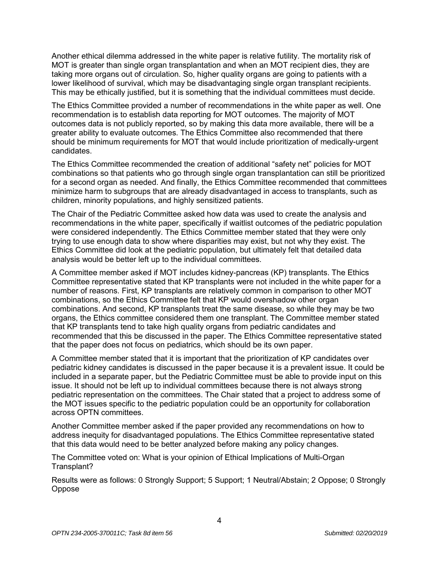Another ethical dilemma addressed in the white paper is relative futility. The mortality risk of MOT is greater than single organ transplantation and when an MOT recipient dies, they are taking more organs out of circulation. So, higher quality organs are going to patients with a lower likelihood of survival, which may be disadvantaging single organ transplant recipients. This may be ethically justified, but it is something that the individual committees must decide.

The Ethics Committee provided a number of recommendations in the white paper as well. One recommendation is to establish data reporting for MOT outcomes. The majority of MOT outcomes data is not publicly reported, so by making this data more available, there will be a greater ability to evaluate outcomes. The Ethics Committee also recommended that there should be minimum requirements for MOT that would include prioritization of medically-urgent candidates.

The Ethics Committee recommended the creation of additional "safety net" policies for MOT combinations so that patients who go through single organ transplantation can still be prioritized for a second organ as needed. And finally, the Ethics Committee recommended that committees minimize harm to subgroups that are already disadvantaged in access to transplants, such as children, minority populations, and highly sensitized patients.

The Chair of the Pediatric Committee asked how data was used to create the analysis and recommendations in the white paper, specifically if waitlist outcomes of the pediatric population were considered independently. The Ethics Committee member stated that they were only trying to use enough data to show where disparities may exist, but not why they exist. The Ethics Committee did look at the pediatric population, but ultimately felt that detailed data analysis would be better left up to the individual committees.

A Committee member asked if MOT includes kidney-pancreas (KP) transplants. The Ethics Committee representative stated that KP transplants were not included in the white paper for a number of reasons. First, KP transplants are relatively common in comparison to other MOT combinations, so the Ethics Committee felt that KP would overshadow other organ combinations. And second, KP transplants treat the same disease, so while they may be two organs, the Ethics committee considered them one transplant. The Committee member stated that KP transplants tend to take high quality organs from pediatric candidates and recommended that this be discussed in the paper. The Ethics Committee representative stated that the paper does not focus on pediatrics, which should be its own paper.

A Committee member stated that it is important that the prioritization of KP candidates over pediatric kidney candidates is discussed in the paper because it is a prevalent issue. It could be included in a separate paper, but the Pediatric Committee must be able to provide input on this issue. It should not be left up to individual committees because there is not always strong pediatric representation on the committees. The Chair stated that a project to address some of the MOT issues specific to the pediatric population could be an opportunity for collaboration across OPTN committees.

Another Committee member asked if the paper provided any recommendations on how to address inequity for disadvantaged populations. The Ethics Committee representative stated that this data would need to be better analyzed before making any policy changes.

The Committee voted on: What is your opinion of Ethical Implications of Multi-Organ Transplant?

Results were as follows: 0 Strongly Support; 5 Support; 1 Neutral/Abstain; 2 Oppose; 0 Strongly **Oppose**